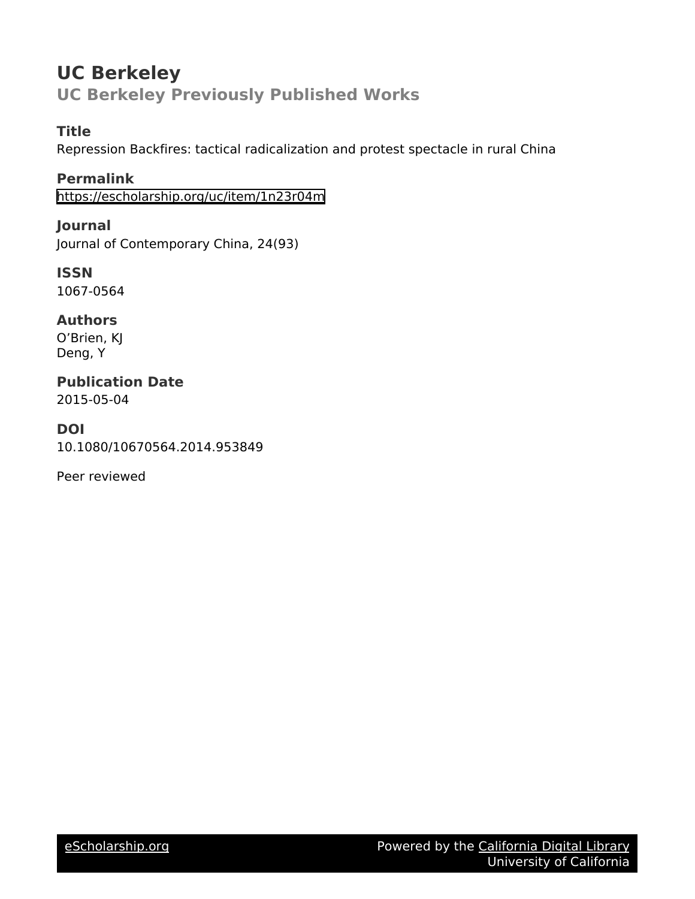# **UC Berkeley UC Berkeley Previously Published Works**

## **Title**

Repression Backfires: tactical radicalization and protest spectacle in rural China

**Permalink** <https://escholarship.org/uc/item/1n23r04m>

**Journal** Journal of Contemporary China, 24(93)

**ISSN** 1067-0564

**Authors** O'Brien, KJ Deng, Y

**Publication Date** 2015-05-04

**DOI** 10.1080/10670564.2014.953849

Peer reviewed

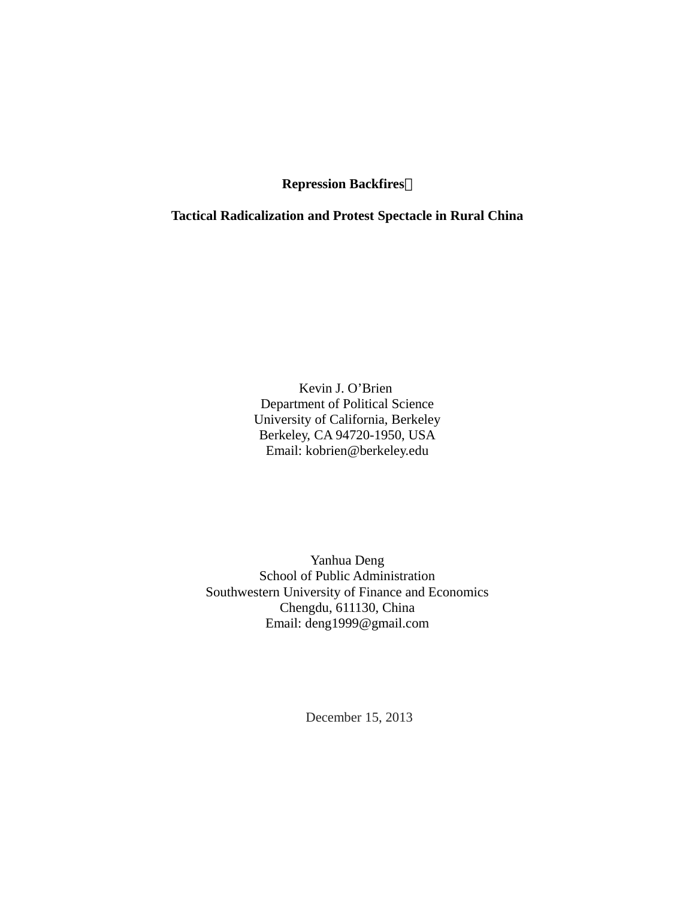**Repression Backfires:**

**Tactical Radicalization and Protest Spectacle in Rural China**

Kevin J. O'Brien Department of Political Science University of California, Berkeley Berkeley, CA 94720-1950, USA Email: kobrien@berkeley.edu

Yanhua Deng School of Public Administration Southwestern University of Finance and Economics Chengdu, 611130, China Email: deng1999@gmail.com

December 15, 2013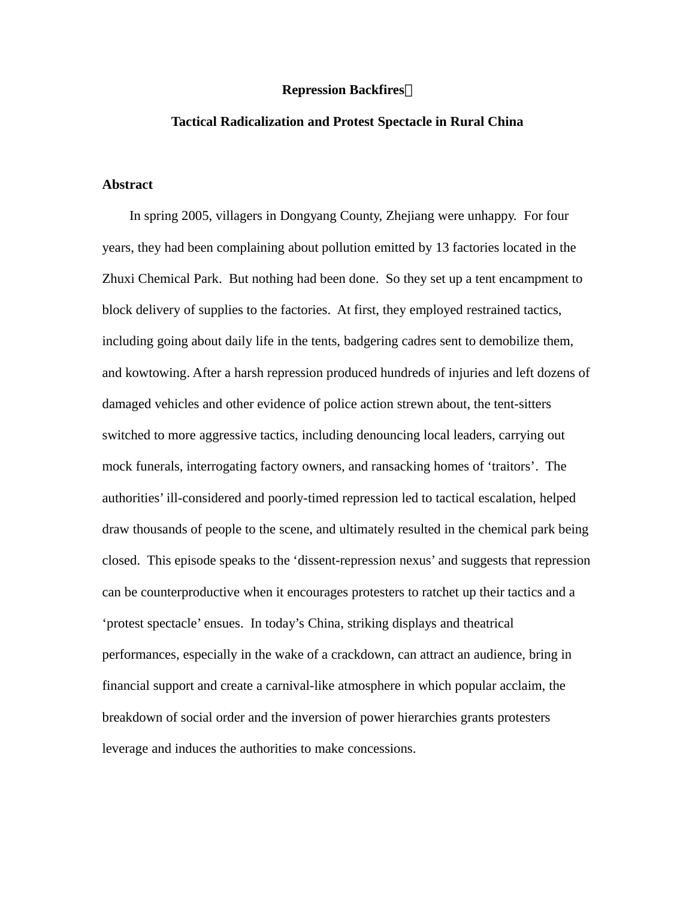#### **Repression Backfires:**

#### **Tactical Radicalization and Protest Spectacle in Rural China**

#### **Abstract**

In spring 2005, villagers in Dongyang County, Zhejiang were unhappy. For four years, they had been complaining about pollution emitted by 13 factories located in the Zhuxi Chemical Park. But nothing had been done. So they set up a tent encampment to block delivery of supplies to the factories. At first, they employed restrained tactics, including going about daily life in the tents, badgering cadres sent to demobilize them, and kowtowing. After a harsh repression produced hundreds of injuries and left dozens of damaged vehicles and other evidence of police action strewn about, the tent-sitters switched to more aggressive tactics, including denouncing local leaders, carrying out mock funerals, interrogating factory owners, and ransacking homes of 'traitors'. The authorities' ill-considered and poorly-timed repression led to tactical escalation, helped draw thousands of people to the scene, and ultimately resulted in the chemical park being closed. This episode speaks to the 'dissent-repression nexus' and suggests that repression can be counterproductive when it encourages protesters to ratchet up their tactics and a 'protest spectacle' ensues. In today's China, striking displays and theatrical performances, especially in the wake of a crackdown, can attract an audience, bring in financial support and create a carnival-like atmosphere in which popular acclaim, the breakdown of social order and the inversion of power hierarchies grants protesters leverage and induces the authorities to make concessions.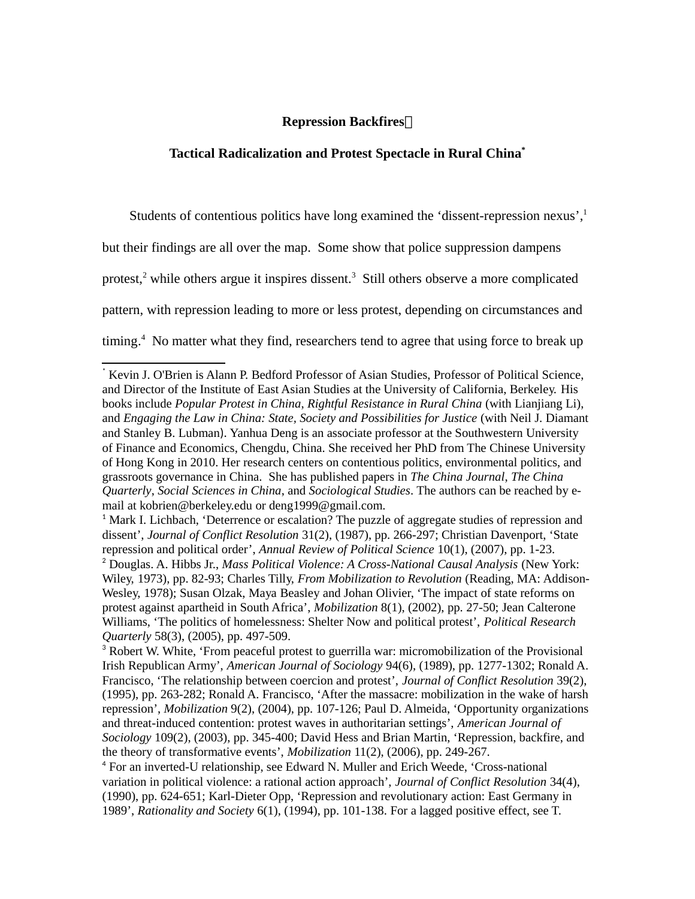### **Repression Backfires:**

#### **Tactical Radicalization and Protest Spectacle in Rural China[\\*](#page-3-0)**

Students of contentious politics have long examined the 'dissent-repression nexus',<sup>[1](#page-3-1)</sup>

but their findings are all over the map. Some show that police suppression dampens

protest,<sup>[2](#page-3-2)</sup> while others argue it inspires dissent.<sup>[3](#page-3-3)</sup> Still others observe a more complicated

pattern, with repression leading to more or less protest, depending on circumstances and

timing. [4](#page-3-4) No matter what they find, researchers tend to agree that using force to break up

<span id="page-3-0"></span><sup>\*</sup> Kevin J. O'Brien is Alann P. Bedford Professor of Asian Studies, Professor of Political Science, and Director of the Institute of East Asian Studies at the University of California, Berkeley. His books include *Popular Protest in China*, *Rightful Resistance in Rural China* (with Lianjiang Li), and *Engaging the Law in China: State, Society and Possibilities for Justice* (with Neil J. Diamant and Stanley B. Lubman). Yanhua Deng is an associate professor at the Southwestern University of Finance and Economics, Chengdu, China. She received her PhD from The Chinese University of Hong Kong in 2010. Her research centers on contentious politics, environmental politics, and grassroots governance in China. She has published papers in *The China Journal*, *The China Quarterly*, *Social Sciences in China*, and *Sociological Studies*. The authors can be reached by email at kobrien@berkeley.edu or deng1999@gmail.com.

<span id="page-3-2"></span><span id="page-3-1"></span> $<sup>1</sup>$  Mark I. Lichbach, 'Deterrence or escalation? The puzzle of aggregate studies of repression and</sup> dissent', *Journal of Conflict Resolution* 31(2), (1987), pp. 266-297; Christian Davenport, 'State repression and political order', *Annual Review of Political Science* 10(1), (2007), pp. 1-23. <sup>2</sup> Douglas. A. Hibbs Jr., *Mass Political Violence: A Cross-National Causal Analysis* (New York: Wiley, 1973), pp. 82-93; Charles Tilly, *From Mobilization to Revolution* (Reading, MA: Addison-Wesley, 1978); Susan Olzak, Maya Beasley and Johan Olivier, 'The impact of state reforms on protest against apartheid in South Africa', *Mobilization* 8(1), (2002), pp. 27-50; Jean Calterone Williams, 'The politics of homelessness: Shelter Now and political protest', *Political Research Quarterly* 58(3), (2005), pp. 497-509.

<span id="page-3-3"></span><sup>&</sup>lt;sup>3</sup> Robert W. White, 'From peaceful protest to guerrilla war: micromobilization of the Provisional Irish Republican Army', *American Journal of Sociology* 94(6), (1989), pp. 1277-1302; Ronald A. Francisco, 'The relationship between coercion and protest', *Journal of Conflict Resolution* 39(2), (1995), pp. 263-282; Ronald A. Francisco, 'After the massacre: mobilization in the wake of harsh repression', *Mobilization* 9(2), (2004), pp. 107-126; Paul D. Almeida, 'Opportunity organizations and threat-induced contention: protest waves in authoritarian settings', *American Journal of Sociology* 109(2), (2003), pp. 345-400; David Hess and Brian Martin, 'Repression, backfire, and the theory of transformative events', *Mobilization* 11(2), (2006), pp. 249-267.

<span id="page-3-4"></span><sup>4</sup> For an inverted-U relationship, see Edward N. Muller and Erich Weede, 'Cross-national variation in political violence: a rational action approach', *Journal of Conflict Resolution* 34(4), (1990), pp. 624-651; Karl-Dieter Opp, 'Repression and revolutionary action: East Germany in 1989', *Rationality and Society* 6(1), (1994), pp. 101-138. For a lagged positive effect, see T.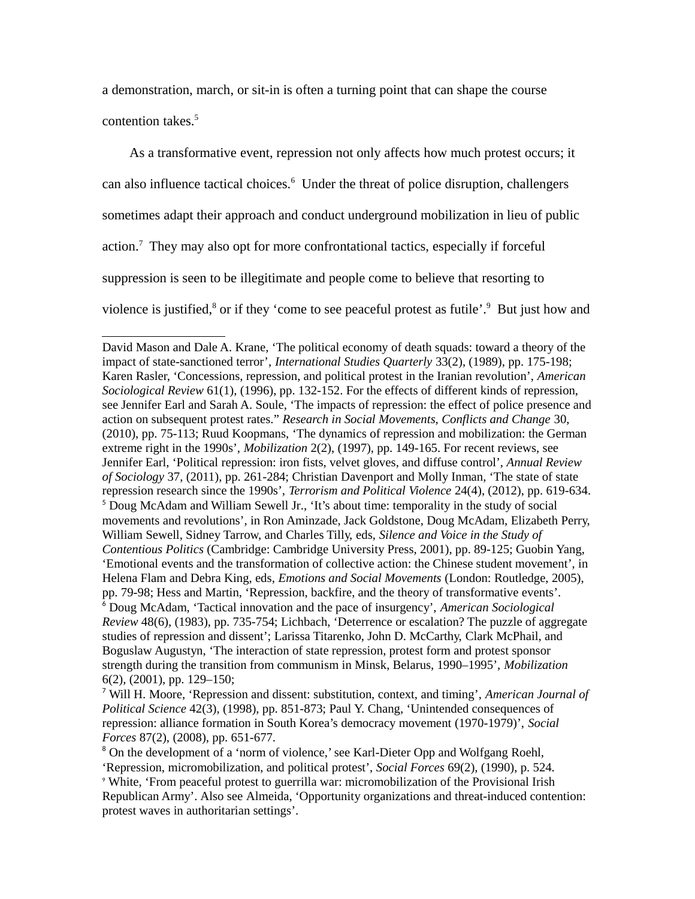a demonstration, march, or sit-in is often a turning point that can shape the course

contention takes. [5](#page-4-0)

As a transformative event, repression not only affects how much protest occurs; it can also influence tactical choices. $6$  Under the threat of police disruption, challengers sometimes adapt their approach and conduct underground mobilization in lieu of public action.<sup>[7](#page-4-2)</sup> They may also opt for more confrontational tactics, especially if forceful suppression is seen to be illegitimate and people come to believe that resorting to violence is justified,<sup>[8](#page-4-3)</sup> or if they 'come to see peaceful protest as futile'.<sup>[9](#page-4-4)</sup> But just how and

<span id="page-4-0"></span>David Mason and Dale A. Krane, 'The political economy of death squads: toward a theory of the impact of state-sanctioned terror', *International Studies Quarterly* 33(2), (1989), pp. 175-198; Karen Rasler, 'Concessions, repression, and political protest in the Iranian revolution', *American Sociological Review* 61(1), (1996), pp. 132-152. For the effects of different kinds of repression, see Jennifer Earl and Sarah A. Soule, 'The impacts of repression: the effect of police presence and action on subsequent protest rates." *Research in Social Movements, Conflicts and Change* 30, (2010), pp. 75-113; Ruud Koopmans, 'The dynamics of repression and mobilization: the German extreme right in the 1990s', *Mobilization* 2(2), (1997), pp. 149-165. For recent reviews, see Jennifer Earl, 'Political repression: iron fists, velvet gloves, and diffuse control', *Annual Review of Sociology* 37, (2011), pp. 261-284; Christian Davenport and Molly Inman, 'The state of state repression research since the 1990s', *Terrorism and Political Violence* 24(4), (2012), pp. 619-634. <sup>5</sup> Doug McAdam and William Sewell Jr., 'It's about time: temporality in the study of social movements and revolutions', in Ron Aminzade, Jack Goldstone, Doug McAdam, Elizabeth Perry, William Sewell, Sidney Tarrow, and Charles Tilly, eds, *Silence and Voice in the Study of Contentious Politics* (Cambridge: Cambridge University Press, 2001), pp. 89-125; Guobin Yang, 'Emotional events and the transformation of collective action: the Chinese student movement', in Helena Flam and Debra King, eds, *Emotions and Social Movements* (London: Routledge, 2005), pp. 79-98; Hess and Martin, 'Repression, backfire, and the theory of transformative events'. <sup>6</sup> Doug McAdam, 'Tactical innovation and the pace of insurgency', *American Sociological Review* 48(6), (1983), pp. 735-754; Lichbach, 'Deterrence or escalation? The puzzle of aggregate studies of repression and dissent'; Larissa Titarenko, John D. McCarthy, Clark McPhail, and Boguslaw Augustyn, 'The interaction of state repression, protest form and protest sponsor strength during the transition from communism in Minsk, Belarus, 1990–1995', *Mobilization*  6(2), (2001), pp. 129–150;

<span id="page-4-2"></span><span id="page-4-1"></span><sup>7</sup> Will H. Moore, 'Repression and dissent: substitution, context, and timing', *American Journal of Political Science* 42(3), (1998), pp. 851-873; Paul Y. Chang, 'Unintended consequences of repression: alliance formation in South Korea's democracy movement (1970-1979)', *Social Forces* 87(2), (2008), pp. 651-677.

<span id="page-4-4"></span><span id="page-4-3"></span><sup>&</sup>lt;sup>8</sup> On the development of a 'norm of violence,' see Karl-Dieter Opp and Wolfgang Roehl, 'Repression, micromobilization, and political protest', *Social Forces* 69(2), (1990), p. 524. <sup>9</sup> White, 'From peaceful protest to guerrilla war: micromobilization of the Provisional Irish Republican Army'. Also see Almeida, 'Opportunity organizations and threat-induced contention: protest waves in authoritarian settings'.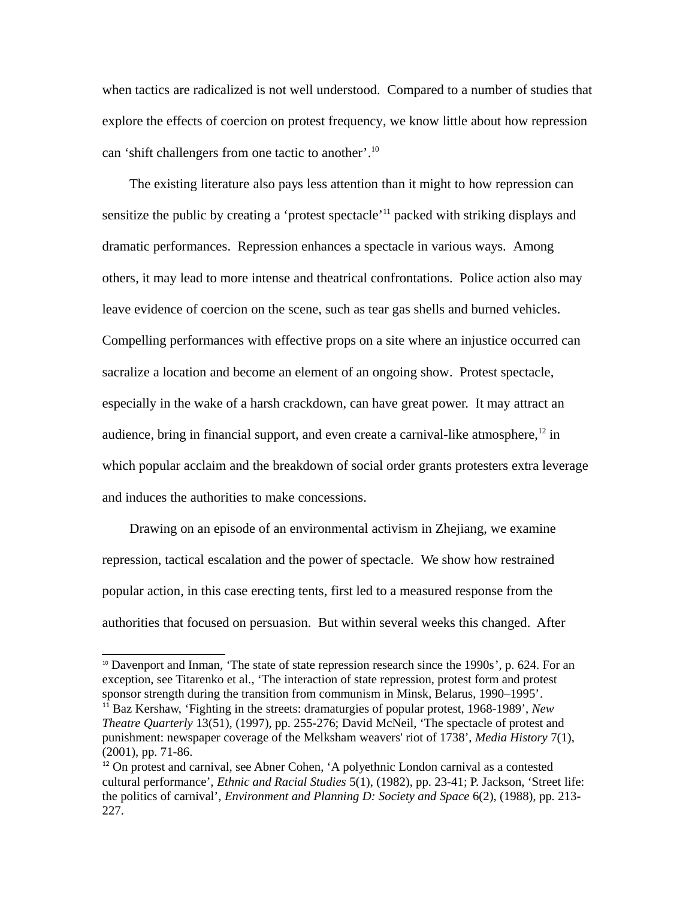when tactics are radicalized is not well understood. Compared to a number of studies that explore the effects of coercion on protest frequency, we know little about how repression can 'shift challengers from one tactic to another'.<sup>[10](#page-5-0)</sup>

The existing literature also pays less attention than it might to how repression can sensitize the public by creating a 'protest spectacle'<sup>[11](#page-5-1)</sup> packed with striking displays and dramatic performances. Repression enhances a spectacle in various ways. Among others, it may lead to more intense and theatrical confrontations. Police action also may leave evidence of coercion on the scene, such as tear gas shells and burned vehicles. Compelling performances with effective props on a site where an injustice occurred can sacralize a location and become an element of an ongoing show. Protest spectacle, especially in the wake of a harsh crackdown, can have great power. It may attract an audience, bring in financial support, and even create a carnival-like atmosphere, $^{12}$  $^{12}$  $^{12}$  in which popular acclaim and the breakdown of social order grants protesters extra leverage and induces the authorities to make concessions.

Drawing on an episode of an environmental activism in Zhejiang, we examine repression, tactical escalation and the power of spectacle. We show how restrained popular action, in this case erecting tents, first led to a measured response from the authorities that focused on persuasion. But within several weeks this changed. After

<span id="page-5-1"></span><span id="page-5-0"></span><sup>&</sup>lt;sup>10</sup> Davenport and Inman, 'The state of state repression research since the 1990s', p. 624. For an exception, see Titarenko et al., 'The interaction of state repression, protest form and protest sponsor strength during the transition from communism in Minsk, Belarus, 1990–1995'. <sup>11</sup> Baz Kershaw, 'Fighting in the streets: dramaturgies of popular protest, 1968-1989', *New Theatre Quarterly* 13(51), (1997), pp. 255-276; David McNeil, 'The spectacle of protest and punishment: newspaper coverage of the Melksham weavers' riot of 1738', *Media History* 7(1), (2001), pp. 71-86.

<span id="page-5-2"></span> $12$  On protest and carnival, see Abner Cohen, 'A polyethnic London carnival as a contested cultural performance', *Ethnic and Racial Studies* 5(1), (1982), pp. 23-41; P. Jackson, 'Street life: the politics of carnival', *Environment and Planning D: Society and Space* 6(2), (1988), pp. 213- 227.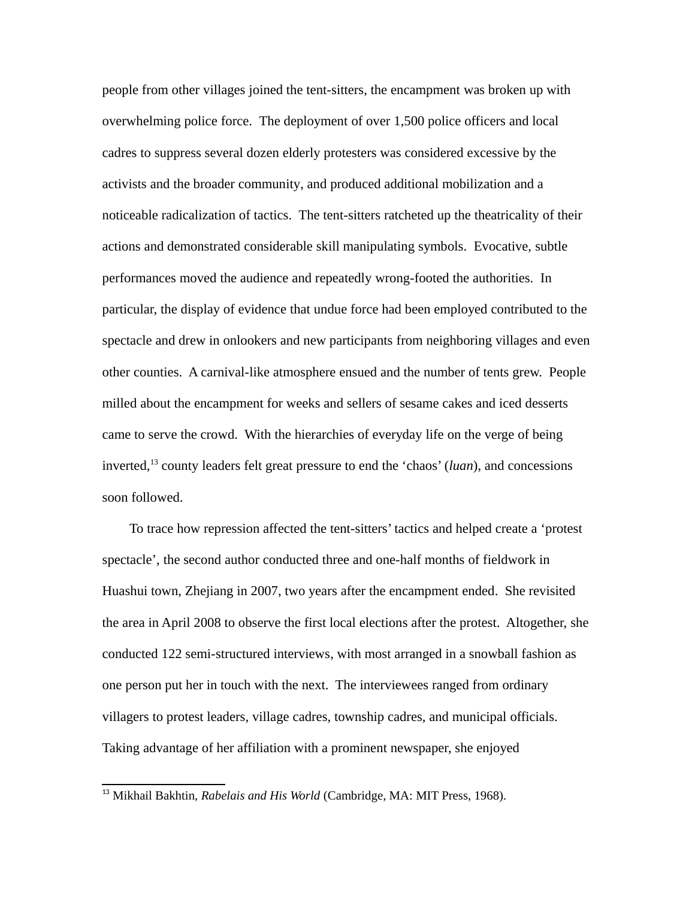people from other villages joined the tent-sitters, the encampment was broken up with overwhelming police force. The deployment of over 1,500 police officers and local cadres to suppress several dozen elderly protesters was considered excessive by the activists and the broader community, and produced additional mobilization and a noticeable radicalization of tactics. The tent-sitters ratcheted up the theatricality of their actions and demonstrated considerable skill manipulating symbols. Evocative, subtle performances moved the audience and repeatedly wrong-footed the authorities. In particular, the display of evidence that undue force had been employed contributed to the spectacle and drew in onlookers and new participants from neighboring villages and even other counties. A carnival-like atmosphere ensued and the number of tents grew. People milled about the encampment for weeks and sellers of sesame cakes and iced desserts came to serve the crowd. With the hierarchies of everyday life on the verge of being inverted,<sup>[13](#page-6-0)</sup> county leaders felt great pressure to end the 'chaos' (*luan*), and concessions soon followed.

To trace how repression affected the tent-sitters' tactics and helped create a 'protest spectacle', the second author conducted three and one-half months of fieldwork in Huashui town, Zhejiang in 2007, two years after the encampment ended. She revisited the area in April 2008 to observe the first local elections after the protest. Altogether, she conducted 122 semi-structured interviews, with most arranged in a snowball fashion as one person put her in touch with the next. The interviewees ranged from ordinary villagers to protest leaders, village cadres, township cadres, and municipal officials. Taking advantage of her affiliation with a prominent newspaper, she enjoyed

<span id="page-6-0"></span><sup>&</sup>lt;sup>13</sup> Mikhail Bakhtin, *Rabelais and His World* (Cambridge, MA: MIT Press, 1968).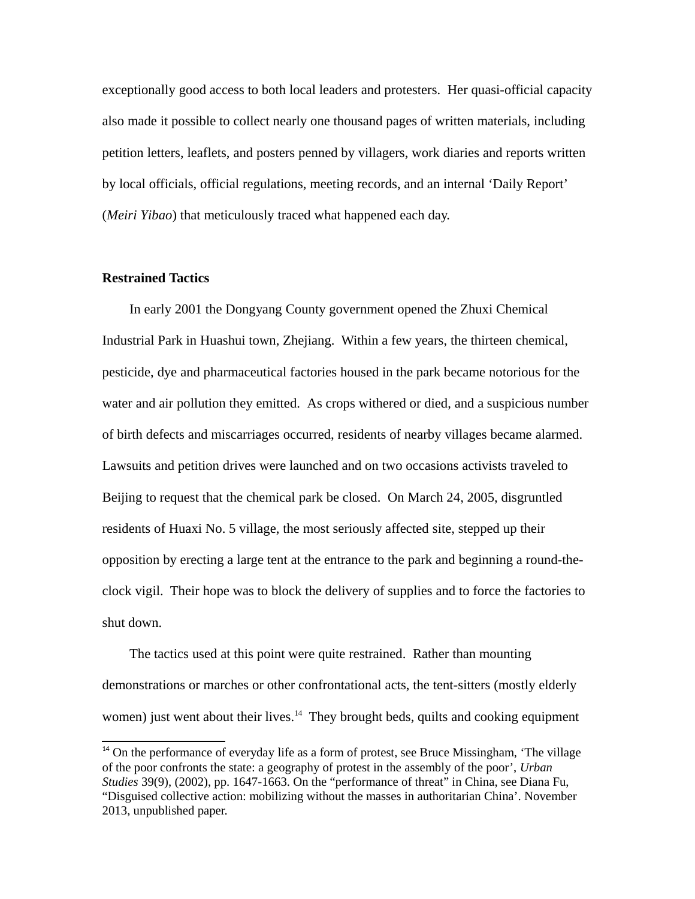exceptionally good access to both local leaders and protesters. Her quasi-official capacity also made it possible to collect nearly one thousand pages of written materials, including petition letters, leaflets, and posters penned by villagers, work diaries and reports written by local officials, official regulations, meeting records, and an internal 'Daily Report' (*Meiri Yibao*) that meticulously traced what happened each day.

#### **Restrained Tactics**

In early 2001 the Dongyang County government opened the Zhuxi Chemical Industrial Park in Huashui town, Zhejiang. Within a few years, the thirteen chemical, pesticide, dye and pharmaceutical factories housed in the park became notorious for the water and air pollution they emitted. As crops withered or died, and a suspicious number of birth defects and miscarriages occurred, residents of nearby villages became alarmed. Lawsuits and petition drives were launched and on two occasions activists traveled to Beijing to request that the chemical park be closed. On March 24, 2005, disgruntled residents of Huaxi No. 5 village, the most seriously affected site, stepped up their opposition by erecting a large tent at the entrance to the park and beginning a round-theclock vigil. Their hope was to block the delivery of supplies and to force the factories to shut down.

The tactics used at this point were quite restrained. Rather than mounting demonstrations or marches or other confrontational acts, the tent-sitters (mostly elderly women) just went about their lives. $14$  They brought beds, quilts and cooking equipment

<span id="page-7-0"></span> $14$  On the performance of everyday life as a form of protest, see Bruce Missingham, 'The village of the poor confronts the state: a geography of protest in the assembly of the poor', *Urban Studies* 39(9), (2002), pp. 1647-1663. On the "performance of threat" in China, see Diana Fu, "Disguised collective action: mobilizing without the masses in authoritarian China'. November 2013, unpublished paper.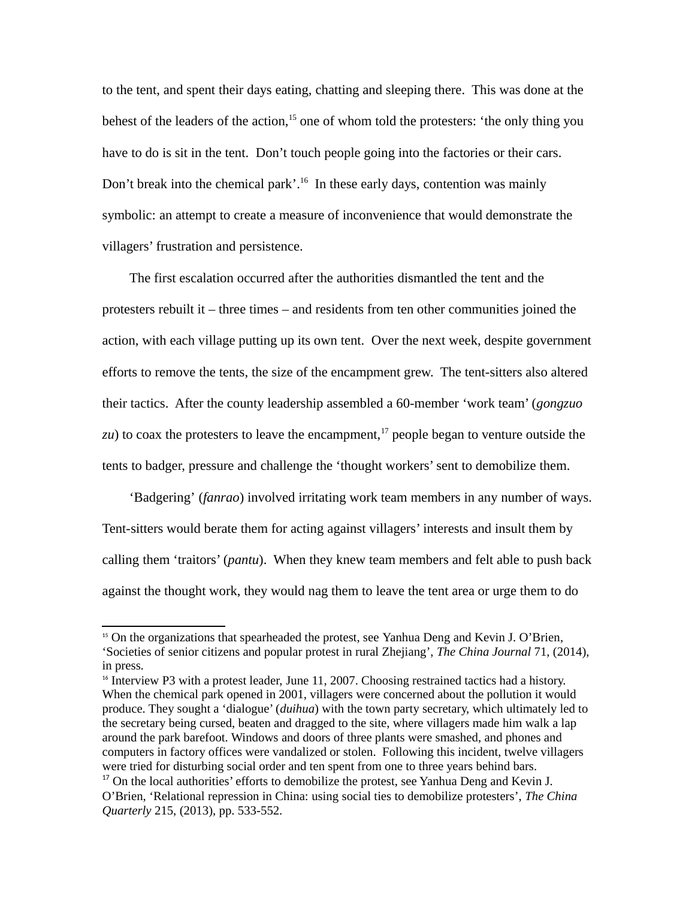to the tent, and spent their days eating, chatting and sleeping there. This was done at the behest of the leaders of the action, $15$  one of whom told the protesters: 'the only thing you have to do is sit in the tent. Don't touch people going into the factories or their cars. Don't break into the chemical park'.<sup>[16](#page-8-1)</sup> In these early days, contention was mainly symbolic: an attempt to create a measure of inconvenience that would demonstrate the villagers' frustration and persistence.

The first escalation occurred after the authorities dismantled the tent and the protesters rebuilt it – three times – and residents from ten other communities joined the action, with each village putting up its own tent. Over the next week, despite government efforts to remove the tents, the size of the encampment grew. The tent-sitters also altered their tactics. After the county leadership assembled a 60-member 'work team' (*gongzuo*   $zu$ ) to coax the protesters to leave the encampment,<sup>[17](#page-8-2)</sup> people began to venture outside the tents to badger, pressure and challenge the 'thought workers' sent to demobilize them.

'Badgering' (*fanrao*) involved irritating work team members in any number of ways. Tent-sitters would berate them for acting against villagers' interests and insult them by calling them 'traitors' (*pantu*). When they knew team members and felt able to push back against the thought work, they would nag them to leave the tent area or urge them to do

<span id="page-8-0"></span><sup>&</sup>lt;sup>15</sup> On the organizations that spearheaded the protest, see Yanhua Deng and Kevin J. O'Brien, 'Societies of senior citizens and popular protest in rural Zhejiang', *The China Journal* 71, (2014), in press.

<span id="page-8-2"></span><span id="page-8-1"></span><sup>&</sup>lt;sup>16</sup> Interview P3 with a protest leader, June 11, 2007. Choosing restrained tactics had a history. When the chemical park opened in 2001, villagers were concerned about the pollution it would produce. They sought a 'dialogue' (*duihua*) with the town party secretary, which ultimately led to the secretary being cursed, beaten and dragged to the site, where villagers made him walk a lap around the park barefoot. Windows and doors of three plants were smashed, and phones and computers in factory offices were vandalized or stolen. Following this incident, twelve villagers were tried for disturbing social order and ten spent from one to three years behind bars.  $17$  On the local authorities' efforts to demobilize the protest, see Yanhua Deng and Kevin J. O'Brien, 'Relational repression in China: using social ties to demobilize protesters', *The China Quarterly* 215, (2013), pp. 533-552.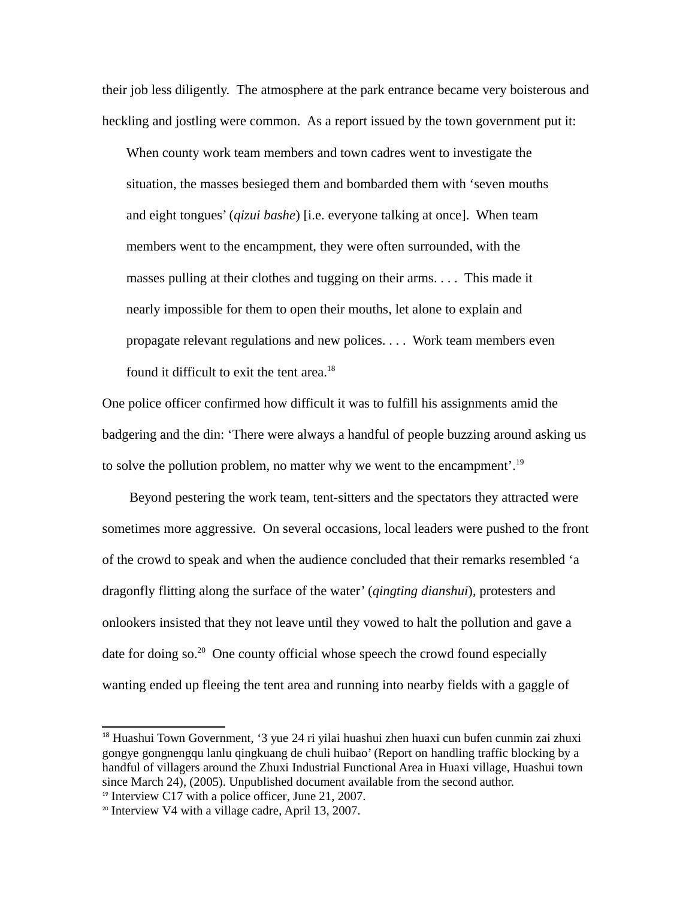their job less diligently. The atmosphere at the park entrance became very boisterous and heckling and jostling were common. As a report issued by the town government put it:

When county work team members and town cadres went to investigate the situation, the masses besieged them and bombarded them with 'seven mouths and eight tongues' (*qizui bashe*) [i.e. everyone talking at once]. When team members went to the encampment, they were often surrounded, with the masses pulling at their clothes and tugging on their arms. . . . This made it nearly impossible for them to open their mouths, let alone to explain and propagate relevant regulations and new polices. . . . Work team members even found it difficult to exit the tent area. $^{18}$  $^{18}$  $^{18}$ 

One police officer confirmed how difficult it was to fulfill his assignments amid the badgering and the din: 'There were always a handful of people buzzing around asking us to solve the pollution problem, no matter why we went to the encampment'.<sup>[19](#page-9-1)</sup>

Beyond pestering the work team, tent-sitters and the spectators they attracted were sometimes more aggressive. On several occasions, local leaders were pushed to the front of the crowd to speak and when the audience concluded that their remarks resembled 'a dragonfly flitting along the surface of the water' (*qingting dianshui*), protesters and onlookers insisted that they not leave until they vowed to halt the pollution and gave a date for doing so.<sup>[20](#page-9-2)</sup> One county official whose speech the crowd found especially wanting ended up fleeing the tent area and running into nearby fields with a gaggle of

<span id="page-9-0"></span><sup>18</sup> Huashui Town Government, '3 yue 24 ri yilai huashui zhen huaxi cun bufen cunmin zai zhuxi gongye gongnengqu lanlu qingkuang de chuli huibao' (Report on handling traffic blocking by a handful of villagers around the Zhuxi Industrial Functional Area in Huaxi village, Huashui town since March 24), (2005). Unpublished document available from the second author.

<span id="page-9-1"></span><sup>&</sup>lt;sup>19</sup> Interview C17 with a police officer, June 21, 2007.

<span id="page-9-2"></span> $20$  Interview V4 with a village cadre, April 13, 2007.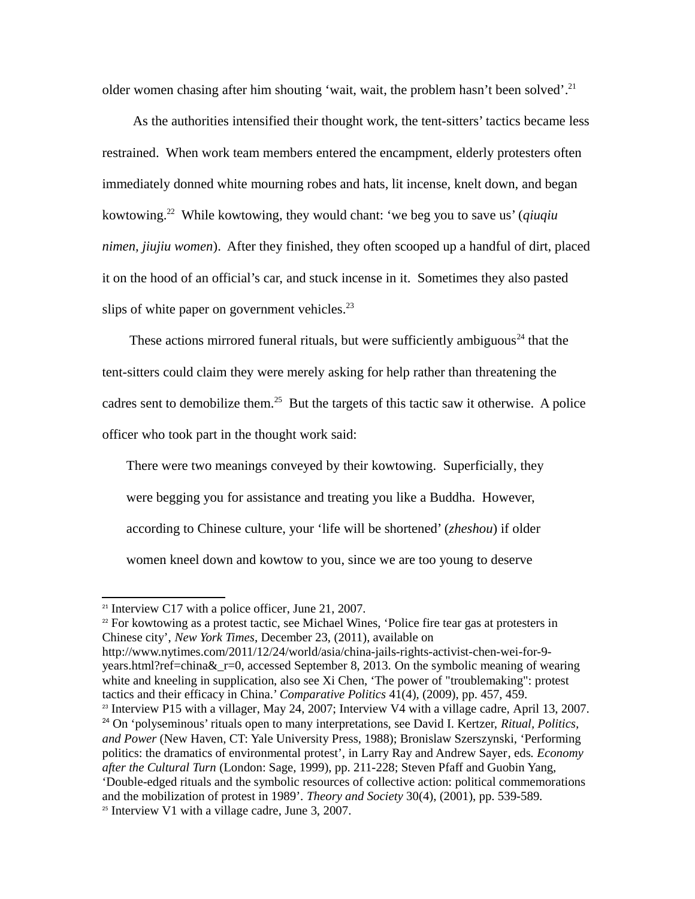older women chasing after him shouting 'wait, wait, the problem hasn't been solved'.<sup>[21](#page-10-0)</sup>

As the authorities intensified their thought work, the tent-sitters' tactics became less restrained. When work team members entered the encampment, elderly protesters often immediately donned white mourning robes and hats, lit incense, knelt down, and began kowtowing.[22](#page-10-1) While kowtowing, they would chant: 'we beg you to save us' (*qiuqiu nimen, jiujiu women*). After they finished, they often scooped up a handful of dirt, placed it on the hood of an official's car, and stuck incense in it. Sometimes they also pasted slips of white paper on government vehicles. $23$ 

These actions mirrored funeral rituals, but were sufficiently ambiguous<sup>[24](#page-10-3)</sup> that the tent-sitters could claim they were merely asking for help rather than threatening the cadres sent to demobilize them.<sup>[25](#page-10-4)</sup> But the targets of this tactic saw it otherwise. A police officer who took part in the thought work said:

There were two meanings conveyed by their kowtowing. Superficially, they were begging you for assistance and treating you like a Buddha. However, according to Chinese culture, your 'life will be shortened' (*zheshou*) if older women kneel down and kowtow to you, since we are too young to deserve

<span id="page-10-1"></span> $22$  For kowtowing as a protest tactic, see Michael Wines, 'Police fire tear gas at protesters in Chinese city', *New York Times*, December 23, (2011), available on

http://www.nytimes.com/2011/12/24/world/asia/china-jails-rights-activist-chen-wei-for-9 years.html?ref=china&\_r=0, accessed September 8, 2013. On the symbolic meaning of wearing white and kneeling in supplication, also see Xi Chen, 'The power of "troublemaking": protest tactics and their efficacy in China.' *Comparative Politics* 41(4), (2009), pp. 457, 459.

<span id="page-10-4"></span><span id="page-10-3"></span><span id="page-10-2"></span> $23$  Interview P15 with a villager, May 24, 2007; Interview V4 with a village cadre, April 13, 2007. <sup>24</sup> On 'polyseminous' rituals open to many interpretations, see David I. Kertzer, *Ritual, Politics, and Power* (New Haven, CT: Yale University Press, 1988); Bronislaw Szerszynski, 'Performing politics: the dramatics of environmental protest', in Larry Ray and Andrew Sayer*,* eds*. Economy after the Cultural Turn* (London: Sage, 1999), pp. 211-228; Steven Pfaff and Guobin Yang, 'Double-edged rituals and the symbolic resources of collective action: political commemorations and the mobilization of protest in 1989'. *Theory and Society* 30(4), (2001), pp. 539-589.  $25$  Interview V1 with a village cadre, June 3, 2007.

<span id="page-10-0"></span> $21$  Interview C17 with a police officer, June 21, 2007.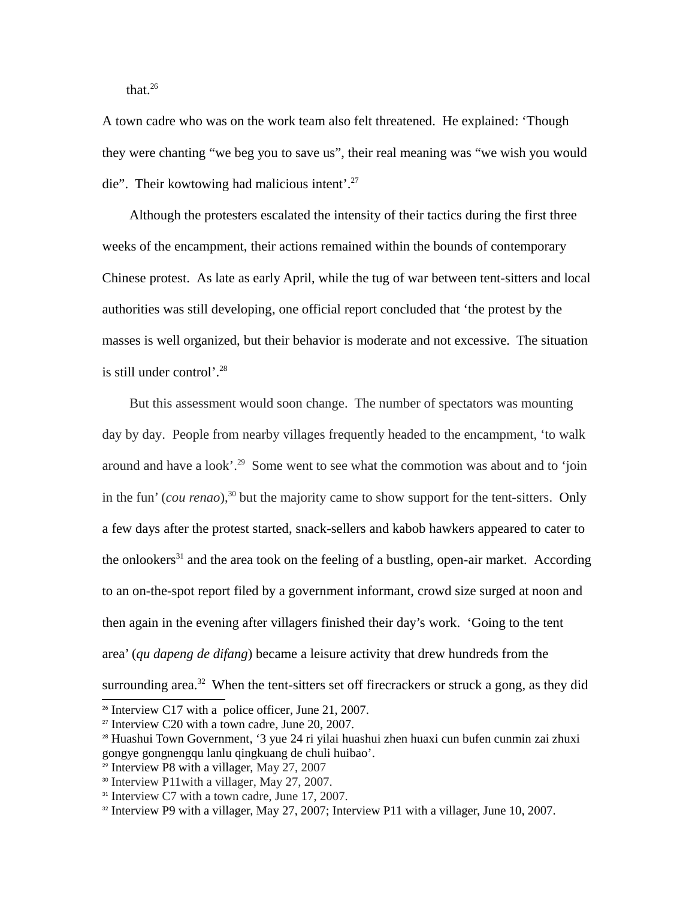that. $26$ 

A town cadre who was on the work team also felt threatened. He explained: 'Though they were chanting "we beg you to save us", their real meaning was "we wish you would die". Their kowtowing had malicious intent'.<sup>[27](#page-11-1)</sup>

Although the protesters escalated the intensity of their tactics during the first three weeks of the encampment, their actions remained within the bounds of contemporary Chinese protest. As late as early April, while the tug of war between tent-sitters and local authorities was still developing, one official report concluded that 'the protest by the masses is well organized, but their behavior is moderate and not excessive. The situation is still under control'. [28](#page-11-2)

But this assessment would soon change. The number of spectators was mounting day by day. People from nearby villages frequently headed to the encampment, 'to walk around and have a look'. [29](#page-11-3) Some went to see what the commotion was about and to 'join in the fun' (*cou renao*), [30](#page-11-4) but the majority came to show support for the tent-sitters. Only a few days after the protest started, snack-sellers and kabob hawkers appeared to cater to the onlookers<sup>[31](#page-11-5)</sup> and the area took on the feeling of a bustling, open-air market. According to an on-the-spot report filed by a government informant, crowd size surged at noon and then again in the evening after villagers finished their day's work. 'Going to the tent area' (*qu dapeng de difang*) became a leisure activity that drew hundreds from the surrounding area.<sup>[32](#page-11-6)</sup> When the tent-sitters set off firecrackers or struck a gong, as they did

<span id="page-11-0"></span> $26$  Interview C17 with a police officer, June 21, 2007.

<span id="page-11-1"></span><sup>27</sup> Interview C20 with a town cadre, June 20, 2007.

<span id="page-11-2"></span><sup>28</sup> Huashui Town Government, '3 yue 24 ri yilai huashui zhen huaxi cun bufen cunmin zai zhuxi gongye gongnengqu lanlu qingkuang de chuli huibao'.

<span id="page-11-3"></span><sup>29</sup> Interview P8 with a villager, May 27, 2007

<span id="page-11-4"></span><sup>30</sup> Interview P11with a villager, May 27, 2007.

<span id="page-11-5"></span><sup>&</sup>lt;sup>31</sup> Interview C7 with a town cadre, June 17, 2007.

<span id="page-11-6"></span><sup>&</sup>lt;sup>32</sup> Interview P9 with a villager, May 27, 2007; Interview P11 with a villager, June 10, 2007.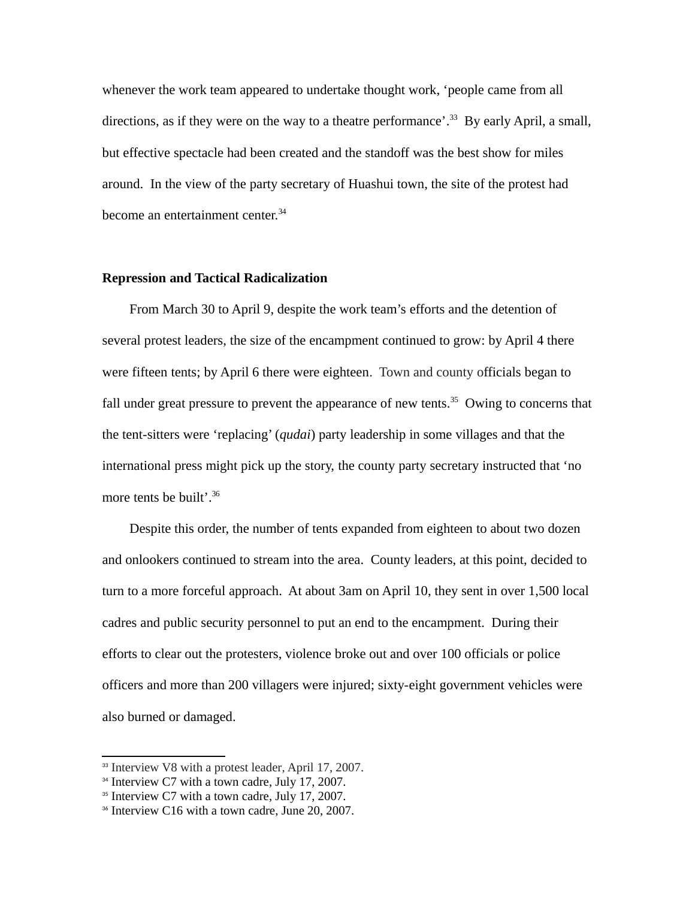whenever the work team appeared to undertake thought work, 'people came from all directions, as if they were on the way to a theatre performance'.<sup>[33](#page-12-0)</sup> By early April, a small, but effective spectacle had been created and the standoff was the best show for miles around. In the view of the party secretary of Huashui town, the site of the protest had become an entertainment center.<sup>[34](#page-12-1)</sup>

#### **Repression and Tactical Radicalization**

From March 30 to April 9, despite the work team's efforts and the detention of several protest leaders, the size of the encampment continued to grow: by April 4 there were fifteen tents; by April 6 there were eighteen. Town and county officials began to fall under great pressure to prevent the appearance of new tents.<sup>[35](#page-12-2)</sup> Owing to concerns that the tent-sitters were 'replacing' (*qudai*) party leadership in some villages and that the international press might pick up the story, the county party secretary instructed that 'no more tents be built'.<sup>[36](#page-12-3)</sup>

Despite this order, the number of tents expanded from eighteen to about two dozen and onlookers continued to stream into the area. County leaders, at this point, decided to turn to a more forceful approach. At about 3am on April 10, they sent in over 1,500 local cadres and public security personnel to put an end to the encampment. During their efforts to clear out the protesters, violence broke out and over 100 officials or police officers and more than 200 villagers were injured; sixty-eight government vehicles were also burned or damaged.

<span id="page-12-0"></span><sup>&</sup>lt;sup>33</sup> Interview V8 with a protest leader, April 17, 2007.

<span id="page-12-1"></span> $34$  Interview C7 with a town cadre, July 17, 2007.

<span id="page-12-2"></span><sup>&</sup>lt;sup>35</sup> Interview C7 with a town cadre, July 17, 2007.

<span id="page-12-3"></span><sup>&</sup>lt;sup>36</sup> Interview C16 with a town cadre, June 20, 2007.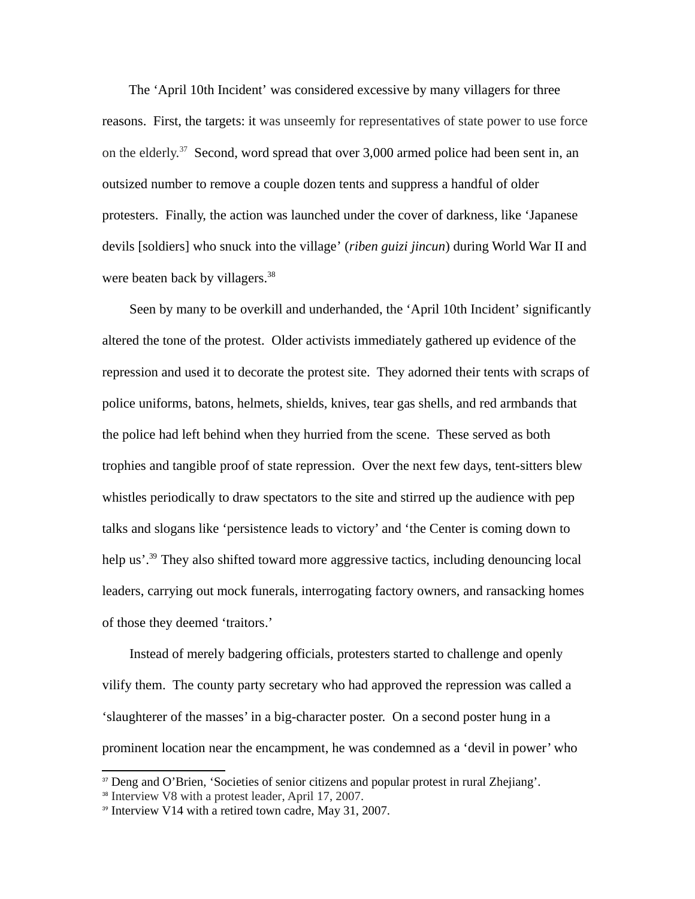The 'April 10th Incident' was considered excessive by many villagers for three reasons. First, the targets: it was unseemly for representatives of state power to use force on the elderly.<sup>[37](#page-13-0)</sup> Second, word spread that over 3,000 armed police had been sent in, an outsized number to remove a couple dozen tents and suppress a handful of older protesters. Finally, the action was launched under the cover of darkness, like 'Japanese devils [soldiers] who snuck into the village' (*riben guizi jincun*) during World War II and were beaten back by villagers.<sup>[38](#page-13-1)</sup>

Seen by many to be overkill and underhanded, the 'April 10th Incident' significantly altered the tone of the protest. Older activists immediately gathered up evidence of the repression and used it to decorate the protest site. They adorned their tents with scraps of police uniforms, batons, helmets, shields, knives, tear gas shells, and red armbands that the police had left behind when they hurried from the scene. These served as both trophies and tangible proof of state repression. Over the next few days, tent-sitters blew whistles periodically to draw spectators to the site and stirred up the audience with pep talks and slogans like 'persistence leads to victory' and 'the Center is coming down to help us'.<sup>[39](#page-13-2)</sup> They also shifted toward more aggressive tactics, including denouncing local leaders, carrying out mock funerals, interrogating factory owners, and ransacking homes of those they deemed 'traitors.'

Instead of merely badgering officials, protesters started to challenge and openly vilify them. The county party secretary who had approved the repression was called a 'slaughterer of the masses' in a big-character poster. On a second poster hung in a prominent location near the encampment, he was condemned as a 'devil in power' who

<span id="page-13-0"></span><sup>&</sup>lt;sup>37</sup> Deng and O'Brien, 'Societies of senior citizens and popular protest in rural Zhejiang'.

<span id="page-13-1"></span><sup>38</sup> Interview V8 with a protest leader, April 17, 2007.

<span id="page-13-2"></span><sup>&</sup>lt;sup>39</sup> Interview V14 with a retired town cadre, May 31, 2007.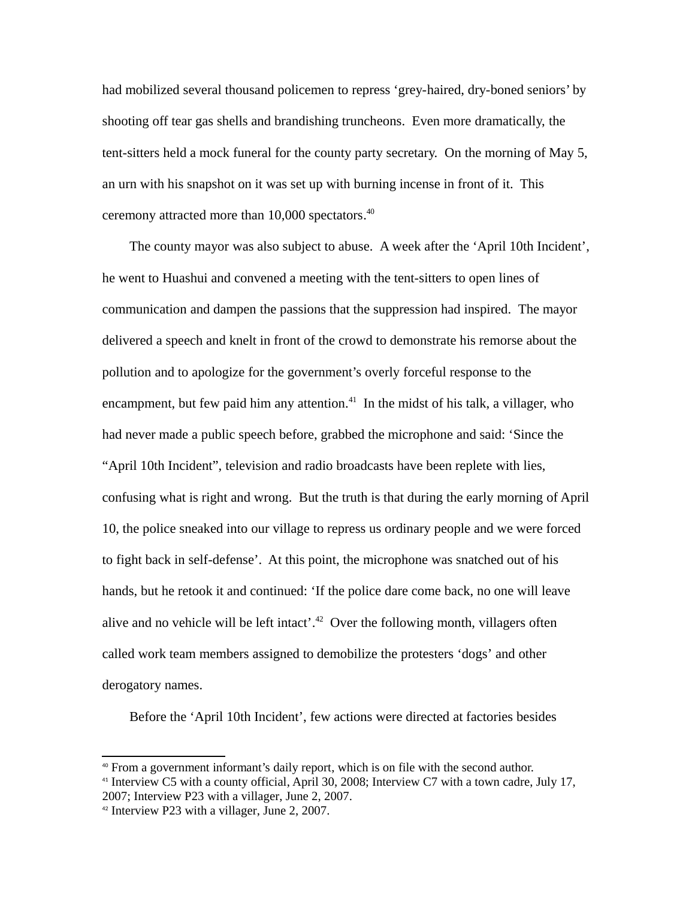had mobilized several thousand policemen to repress 'grey-haired, dry-boned seniors' by shooting off tear gas shells and brandishing truncheons. Even more dramatically, the tent-sitters held a mock funeral for the county party secretary. On the morning of May 5, an urn with his snapshot on it was set up with burning incense in front of it. This ceremony attracted more than 10,000 spectators. [40](#page-14-0)

The county mayor was also subject to abuse. A week after the 'April 10th Incident', he went to Huashui and convened a meeting with the tent-sitters to open lines of communication and dampen the passions that the suppression had inspired. The mayor delivered a speech and knelt in front of the crowd to demonstrate his remorse about the pollution and to apologize for the government's overly forceful response to the encampment, but few paid him any attention. $41$  In the midst of his talk, a villager, who had never made a public speech before, grabbed the microphone and said: 'Since the "April 10th Incident", television and radio broadcasts have been replete with lies, confusing what is right and wrong. But the truth is that during the early morning of April 10, the police sneaked into our village to repress us ordinary people and we were forced to fight back in self-defense'. At this point, the microphone was snatched out of his hands, but he retook it and continued: 'If the police dare come back, no one will leave alive and no vehicle will be left intact'.<sup>[42](#page-14-2)</sup> Over the following month, villagers often called work team members assigned to demobilize the protesters 'dogs' and other derogatory names.

Before the 'April 10th Incident', few actions were directed at factories besides

<span id="page-14-0"></span> $40$  From a government informant's daily report, which is on file with the second author.

<span id="page-14-1"></span><sup>&</sup>lt;sup>41</sup> Interview C5 with a county official, April 30, 2008; Interview C7 with a town cadre, July 17, 2007; Interview P23 with a villager, June 2, 2007.

<span id="page-14-2"></span><sup>42</sup> Interview P23 with a villager, June 2, 2007.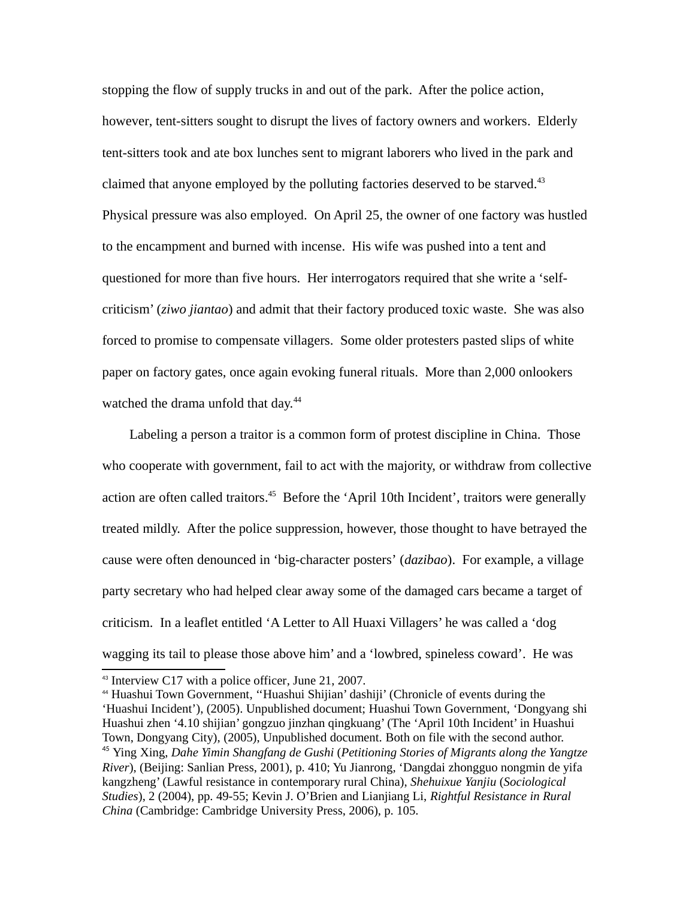stopping the flow of supply trucks in and out of the park. After the police action, however, tent-sitters sought to disrupt the lives of factory owners and workers. Elderly tent-sitters took and ate box lunches sent to migrant laborers who lived in the park and claimed that anyone employed by the polluting factories deserved to be starved. $43$ Physical pressure was also employed. On April 25, the owner of one factory was hustled to the encampment and burned with incense. His wife was pushed into a tent and questioned for more than five hours. Her interrogators required that she write a 'selfcriticism' (*ziwo jiantao*) and admit that their factory produced toxic waste. She was also forced to promise to compensate villagers. Some older protesters pasted slips of white paper on factory gates, once again evoking funeral rituals. More than 2,000 onlookers watched the drama unfold that day.<sup>[44](#page-15-1)</sup>

Labeling a person a traitor is a common form of protest discipline in China. Those who cooperate with government, fail to act with the majority, or withdraw from collective action are often called traitors.<sup>[45](#page-15-2)</sup> Before the 'April 10th Incident', traitors were generally treated mildly. After the police suppression, however, those thought to have betrayed the cause were often denounced in 'big-character posters' (*dazibao*). For example, a village party secretary who had helped clear away some of the damaged cars became a target of criticism. In a leaflet entitled 'A Letter to All Huaxi Villagers' he was called a 'dog wagging its tail to please those above him' and a 'lowbred, spineless coward'. He was

<span id="page-15-0"></span><sup>43</sup> Interview C17 with a police officer, June 21, 2007.

<span id="page-15-2"></span><span id="page-15-1"></span><sup>44</sup> Huashui Town Government, ''Huashui Shijian' dashiji' (Chronicle of events during the 'Huashui Incident'), (2005). Unpublished document; Huashui Town Government, 'Dongyang shi Huashui zhen '4.10 shijian' gongzuo jinzhan qingkuang' (The 'April 10th Incident' in Huashui Town, Dongyang City), (2005), Unpublished document. Both on file with the second author. <sup>45</sup> Ying Xing, *Dahe Yimin Shangfang de Gushi* (*Petitioning Stories of Migrants along the Yangtze River*), (Beijing: Sanlian Press, 2001), p. 410; Yu Jianrong, 'Dangdai zhongguo nongmin de yifa kangzheng' (Lawful resistance in contemporary rural China), *Shehuixue Yanjiu* (*Sociological Studies*), 2 (2004), pp. 49-55; Kevin J. O'Brien and Lianjiang Li, *Rightful Resistance in Rural China* (Cambridge: Cambridge University Press, 2006), p. 105.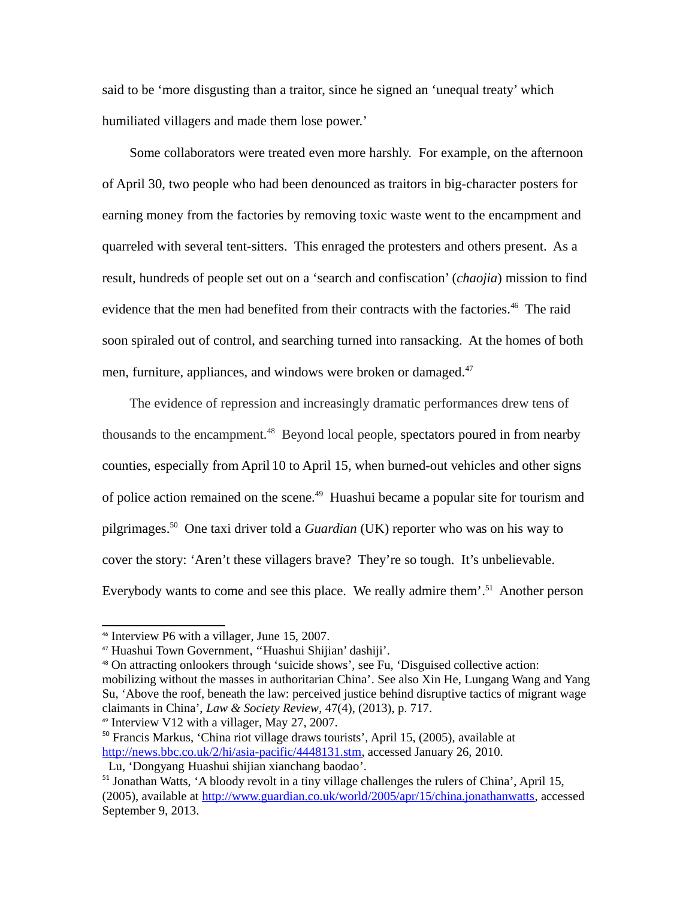said to be 'more disgusting than a traitor, since he signed an 'unequal treaty' which humiliated villagers and made them lose power.'

Some collaborators were treated even more harshly. For example, on the afternoon of April 30, two people who had been denounced as traitors in big-character posters for earning money from the factories by removing toxic waste went to the encampment and quarreled with several tent-sitters. This enraged the protesters and others present. As a result, hundreds of people set out on a 'search and confiscation' (*chaojia*) mission to find evidence that the men had benefited from their contracts with the factories.<sup>[46](#page-16-0)</sup> The raid soon spiraled out of control, and searching turned into ransacking. At the homes of both men, furniture, appliances, and windows were broken or damaged.<sup>[47](#page-16-1)</sup>

The evidence of repression and increasingly dramatic performances drew tens of thousands to the encampment.<sup>[48](#page-16-2)</sup> Beyond local people, spectators poured in from nearby counties, especially from April 10 to April 15, when burned-out vehicles and other signs of police action remained on the scene.<sup>[49](#page-16-3)</sup> Huashui became a popular site for tourism and pilgrimages.[50](#page-16-4) One taxi driver told a *Guardian* (UK) reporter who was on his way to cover the story: 'Aren't these villagers brave? They're so tough. It's unbelievable. Everybody wants to come and see this place. We really admire them'.<sup>[51](#page-16-5)</sup> Another person

<span id="page-16-3"></span><sup>49</sup> Interview V12 with a villager, May 27, 2007.

<span id="page-16-0"></span><sup>46</sup> Interview P6 with a villager, June 15, 2007.

<span id="page-16-1"></span><sup>47</sup> Huashui Town Government, ''Huashui Shijian' dashiji'.

<span id="page-16-2"></span><sup>48</sup> On attracting onlookers through 'suicide shows', see Fu, 'Disguised collective action: mobilizing without the masses in authoritarian China'. See also Xin He, Lungang Wang and Yang Su, 'Above the roof, beneath the law: perceived justice behind disruptive tactics of migrant wage claimants in China', *Law & Society Review*, 47(4), (2013), p. 717.

<span id="page-16-4"></span><sup>50</sup> Francis Markus, 'China riot village draws tourists', April 15, (2005), available at [http://news.bbc.co.uk/2/hi/asia-pacific/4448131.stm,](http://news.bbc.co.uk/2/hi/asia-pacific/4448131.stm) accessed January 26, 2010.

Lu, 'Dongyang Huashui shijian xianchang baodao'.

<span id="page-16-5"></span><sup>&</sup>lt;sup>51</sup> Jonathan Watts, 'A bloody revolt in a tiny village challenges the rulers of China', April 15, (2005), available at [http://www.guardian.co.uk/world/2005/apr/15/china.jonathanwatts,](http://www.guardian.co.uk/world/2005/apr/15/china.jonathanwatts) accessed September 9, 2013.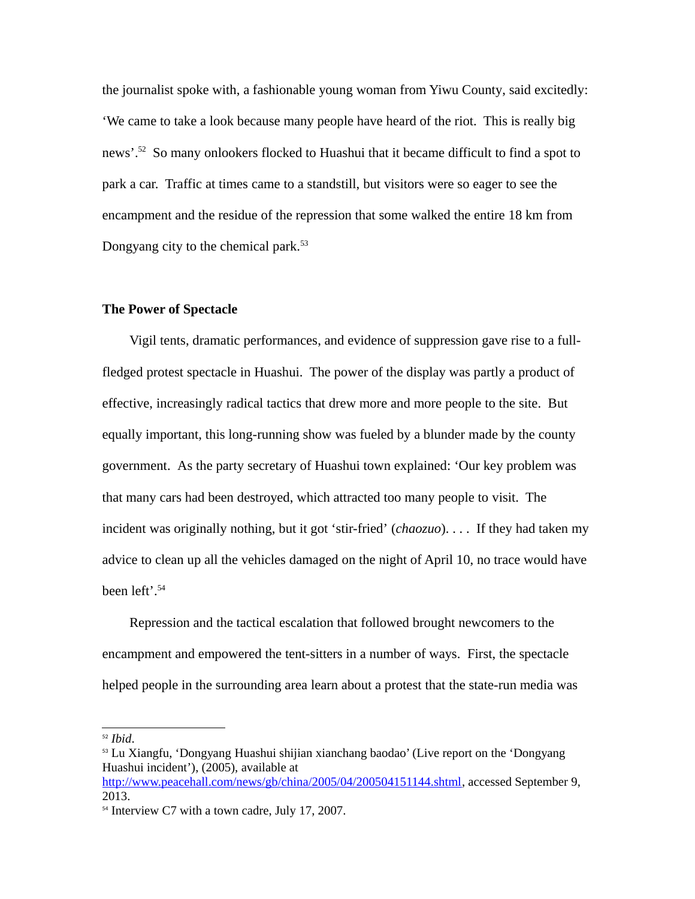the journalist spoke with, a fashionable young woman from Yiwu County, said excitedly: 'We came to take a look because many people have heard of the riot. This is really big news'.<sup>[52](#page-17-0)</sup> So many onlookers flocked to Huashui that it became difficult to find a spot to park a car. Traffic at times came to a standstill, but visitors were so eager to see the encampment and the residue of the repression that some walked the entire 18 km from Dongyang city to the chemical park.<sup>[53](#page-17-1)</sup>

#### **The Power of Spectacle**

Vigil tents, dramatic performances, and evidence of suppression gave rise to a fullfledged protest spectacle in Huashui. The power of the display was partly a product of effective, increasingly radical tactics that drew more and more people to the site. But equally important, this long-running show was fueled by a blunder made by the county government. As the party secretary of Huashui town explained: 'Our key problem was that many cars had been destroyed, which attracted too many people to visit. The incident was originally nothing, but it got 'stir-fried' (*chaozuo*). . . . If they had taken my advice to clean up all the vehicles damaged on the night of April 10, no trace would have been left'. [54](#page-17-2)

Repression and the tactical escalation that followed brought newcomers to the encampment and empowered the tent-sitters in a number of ways. First, the spectacle helped people in the surrounding area learn about a protest that the state-run media was

<span id="page-17-0"></span><sup>52</sup> *Ibid*.

<span id="page-17-1"></span><sup>53</sup> Lu Xiangfu, 'Dongyang Huashui shijian xianchang baodao' (Live report on the 'Dongyang Huashui incident'), (2005), available at [http://www.peacehall.com/news/gb/china/2005/04/200504151144.shtml,](http://www.peacehall.com/news/gb/china/2005/04/200504151144.shtml) accessed September 9, 2013.

<span id="page-17-2"></span><sup>&</sup>lt;sup>54</sup> Interview C7 with a town cadre, July 17, 2007.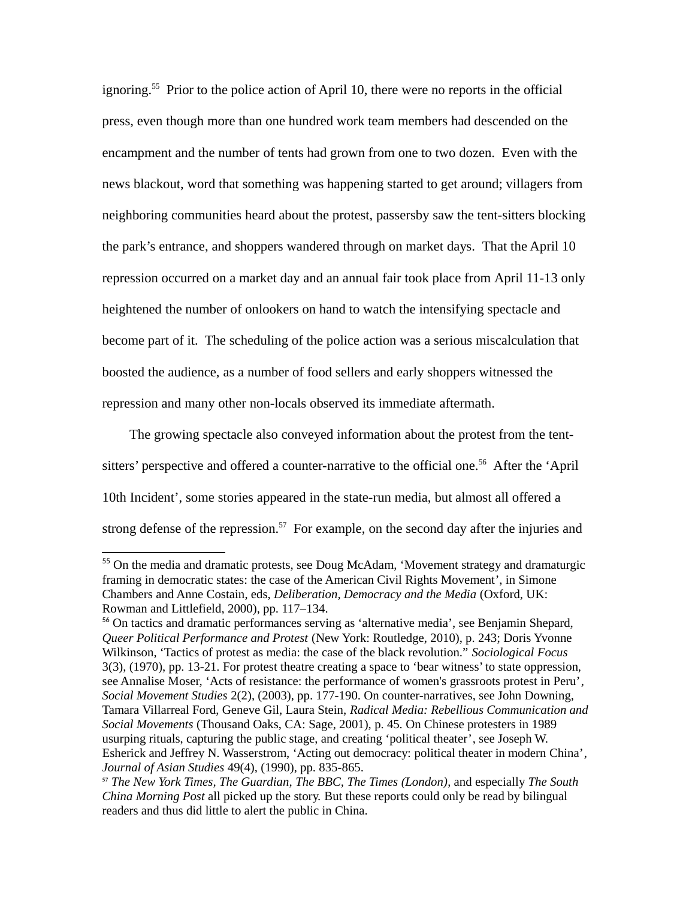ignoring.<sup>[55](#page-18-0)</sup> Prior to the police action of April 10, there were no reports in the official press, even though more than one hundred work team members had descended on the encampment and the number of tents had grown from one to two dozen. Even with the news blackout, word that something was happening started to get around; villagers from neighboring communities heard about the protest, passersby saw the tent-sitters blocking the park's entrance, and shoppers wandered through on market days. That the April 10 repression occurred on a market day and an annual fair took place from April 11-13 only heightened the number of onlookers on hand to watch the intensifying spectacle and become part of it. The scheduling of the police action was a serious miscalculation that boosted the audience, as a number of food sellers and early shoppers witnessed the repression and many other non-locals observed its immediate aftermath.

The growing spectacle also conveyed information about the protest from the tent-sitters' perspective and offered a counter-narrative to the official one.<sup>[56](#page-18-1)</sup> After the 'April 10th Incident', some stories appeared in the state-run media, but almost all offered a strong defense of the repression.<sup>[57](#page-18-2)</sup> For example, on the second day after the injuries and

<span id="page-18-0"></span><sup>&</sup>lt;sup>55</sup> On the media and dramatic protests, see Doug McAdam, 'Movement strategy and dramaturgic framing in democratic states: the case of the American Civil Rights Movement', in Simone Chambers and Anne Costain, eds, *Deliberation, Democracy and the Media* (Oxford, UK: Rowman and Littlefield, 2000), pp. 117–134.

<span id="page-18-1"></span><sup>&</sup>lt;sup>56</sup> On tactics and dramatic performances serving as 'alternative media', see Benjamin Shepard, *Queer Political Performance and Protest* (New York: Routledge, 2010), p. 243; Doris Yvonne Wilkinson, 'Tactics of protest as media: the case of the black revolution." *Sociological Focus* 3(3), (1970), pp. 13-21. For protest theatre creating a space to 'bear witness' to state oppression, see Annalise Moser, 'Acts of resistance: the performance of women's grassroots protest in Peru', *Social Movement Studies* 2(2), (2003), pp. 177-190. On counter-narratives, see John Downing, Tamara Villarreal Ford, Geneve Gil, Laura Stein, *Radical Media: Rebellious Communication and Social Movements* (Thousand Oaks, CA: Sage, 2001), p. 45. On Chinese protesters in 1989 usurping rituals, capturing the public stage, and creating 'political theater', see Joseph W. Esherick and Jeffrey N. Wasserstrom, 'Acting out democracy: political theater in modern China', *Journal of Asian Studies* 49(4), (1990), pp. 835-865.

<span id="page-18-2"></span><sup>57</sup> *The New York Times, The Guardian, The BBC, The Times (London)*, and especially *The South China Morning Post* all picked up the story. But these reports could only be read by bilingual readers and thus did little to alert the public in China.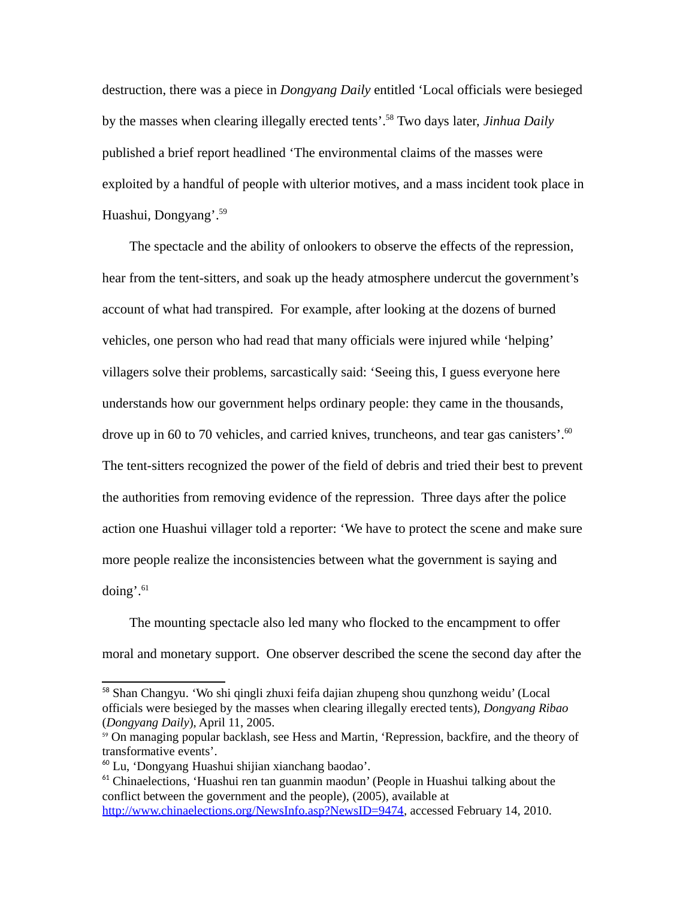destruction, there was a piece in *Dongyang Daily* entitled 'Local officials were besieged by the masses when clearing illegally erected tents'. [58](#page-19-0) Two days later, *Jinhua Daily* published a brief report headlined 'The environmental claims of the masses were exploited by a handful of people with ulterior motives, and a mass incident took place in Huashui, Dongyang'. [59](#page-19-1)

The spectacle and the ability of onlookers to observe the effects of the repression, hear from the tent-sitters, and soak up the heady atmosphere undercut the government's account of what had transpired. For example, after looking at the dozens of burned vehicles, one person who had read that many officials were injured while 'helping' villagers solve their problems, sarcastically said: 'Seeing this, I guess everyone here understands how our government helps ordinary people: they came in the thousands, drove up in [60](#page-19-2) to 70 vehicles, and carried knives, truncheons, and tear gas canisters'.<sup>60</sup> The tent-sitters recognized the power of the field of debris and tried their best to prevent the authorities from removing evidence of the repression. Three days after the police action one Huashui villager told a reporter: 'We have to protect the scene and make sure more people realize the inconsistencies between what the government is saying and doing'. $61$ 

The mounting spectacle also led many who flocked to the encampment to offer moral and monetary support. One observer described the scene the second day after the

<span id="page-19-0"></span><sup>&</sup>lt;sup>58</sup> Shan Changyu. 'Wo shi qingli zhuxi feifa dajian zhupeng shou qunzhong weidu' (Local officials were besieged by the masses when clearing illegally erected tents), *Dongyang Ribao*  (*Dongyang Daily*), April 11, 2005.

<span id="page-19-1"></span><sup>&</sup>lt;sup>59</sup> On managing popular backlash, see Hess and Martin, 'Repression, backfire, and the theory of transformative events'.

<span id="page-19-2"></span><sup>60</sup> Lu, 'Dongyang Huashui shijian xianchang baodao'.

<span id="page-19-3"></span> $61$  Chinaelections, 'Huashui ren tan guanmin maodun' (People in Huashui talking about the conflict between the government and the people), (2005), available at [http://www.chinaelections.org/NewsInfo.asp?NewsID=9474,](http://www.chinaelections.org/NewsInfo.asp?NewsID=9474) accessed February 14, 2010.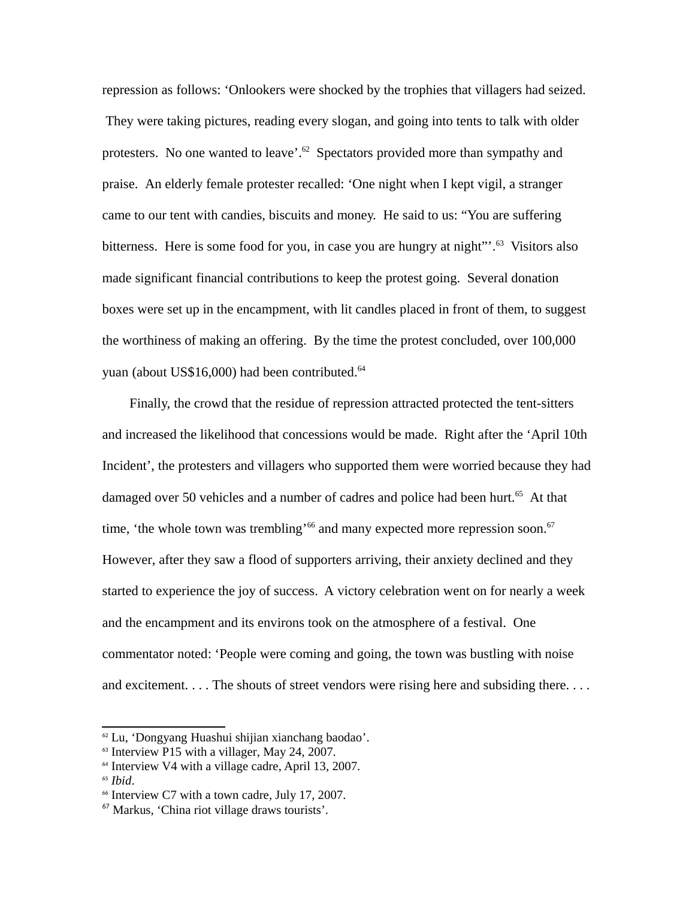repression as follows: 'Onlookers were shocked by the trophies that villagers had seized. They were taking pictures, reading every slogan, and going into tents to talk with older protesters. No one wanted to leave'.<sup>[62](#page-20-0)</sup> Spectators provided more than sympathy and praise. An elderly female protester recalled: 'One night when I kept vigil, a stranger came to our tent with candies, biscuits and money. He said to us: "You are suffering bitterness. Here is some food for you, in case you are hungry at night"'.<sup>[63](#page-20-1)</sup> Visitors also made significant financial contributions to keep the protest going. Several donation boxes were set up in the encampment, with lit candles placed in front of them, to suggest the worthiness of making an offering. By the time the protest concluded, over 100,000 yuan (about US\$16,000) had been contributed. [64](#page-20-2)

Finally, the crowd that the residue of repression attracted protected the tent-sitters and increased the likelihood that concessions would be made. Right after the 'April 10th Incident', the protesters and villagers who supported them were worried because they had damaged over 50 vehicles and a number of cadres and police had been hurt.<sup>[65](#page-20-3)</sup> At that time, 'the whole town was trembling'<sup>[66](#page-20-4)</sup> and many expected more repression soon.<sup>[67](#page-20-5)</sup> However, after they saw a flood of supporters arriving, their anxiety declined and they started to experience the joy of success. A victory celebration went on for nearly a week and the encampment and its environs took on the atmosphere of a festival. One commentator noted: 'People were coming and going, the town was bustling with noise and excitement. . . . The shouts of street vendors were rising here and subsiding there. . . .

<span id="page-20-0"></span><sup>62</sup> Lu, 'Dongyang Huashui shijian xianchang baodao'.

<span id="page-20-1"></span> $63$  Interview P15 with a villager, May 24, 2007.

<span id="page-20-2"></span> $64$  Interview V4 with a village cadre, April 13, 2007.

<span id="page-20-3"></span><sup>65</sup> *Ibid*.

<span id="page-20-4"></span> $<sup>66</sup>$  Interview C7 with a town cadre, July 17, 2007.</sup>

<span id="page-20-5"></span><sup>67</sup> Markus, 'China riot village draws tourists'.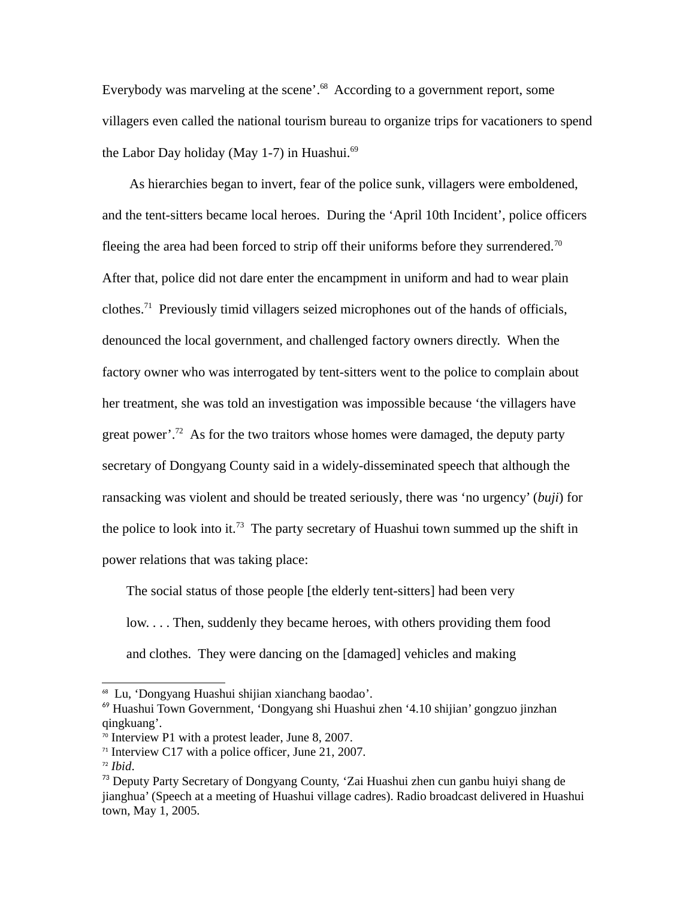Everybody was marveling at the scene'.<sup>[68](#page-21-0)</sup> According to a government report, some villagers even called the national tourism bureau to organize trips for vacationers to spend the Labor Day holiday (May 1-7) in Huashui.<sup>[69](#page-21-1)</sup>

As hierarchies began to invert, fear of the police sunk, villagers were emboldened, and the tent-sitters became local heroes. During the 'April 10th Incident', police officers fleeing the area had been forced to strip off their uniforms before they surrendered.<sup>[70](#page-21-2)</sup> After that, police did not dare enter the encampment in uniform and had to wear plain clothes.[71](#page-21-3) Previously timid villagers seized microphones out of the hands of officials, denounced the local government, and challenged factory owners directly. When the factory owner who was interrogated by tent-sitters went to the police to complain about her treatment, she was told an investigation was impossible because 'the villagers have great power'.<sup>[72](#page-21-4)</sup> As for the two traitors whose homes were damaged, the deputy party secretary of Dongyang County said in a widely-disseminated speech that although the ransacking was violent and should be treated seriously, there was 'no urgency' (*buji*) for the police to look into it.<sup>[73](#page-21-5)</sup> The party secretary of Huashui town summed up the shift in power relations that was taking place:

The social status of those people [the elderly tent-sitters] had been very low. . . . Then, suddenly they became heroes, with others providing them food and clothes. They were dancing on the [damaged] vehicles and making

<span id="page-21-0"></span><sup>68</sup> Lu, 'Dongyang Huashui shijian xianchang baodao'.

<span id="page-21-1"></span><sup>69</sup> Huashui Town Government, 'Dongyang shi Huashui zhen '4.10 shijian' gongzuo jinzhan qingkuang'.

<span id="page-21-2"></span><sup>70</sup> Interview P1 with a protest leader, June 8, 2007.

<span id="page-21-3"></span><sup>&</sup>lt;sup>71</sup> Interview C17 with a police officer, June 21, 2007.

<span id="page-21-4"></span><sup>72</sup> *Ibid*.

<span id="page-21-5"></span><sup>&</sup>lt;sup>73</sup> Deputy Party Secretary of Dongyang County, 'Zai Huashui zhen cun ganbu huiyi shang de jianghua' (Speech at a meeting of Huashui village cadres). Radio broadcast delivered in Huashui town, May 1, 2005.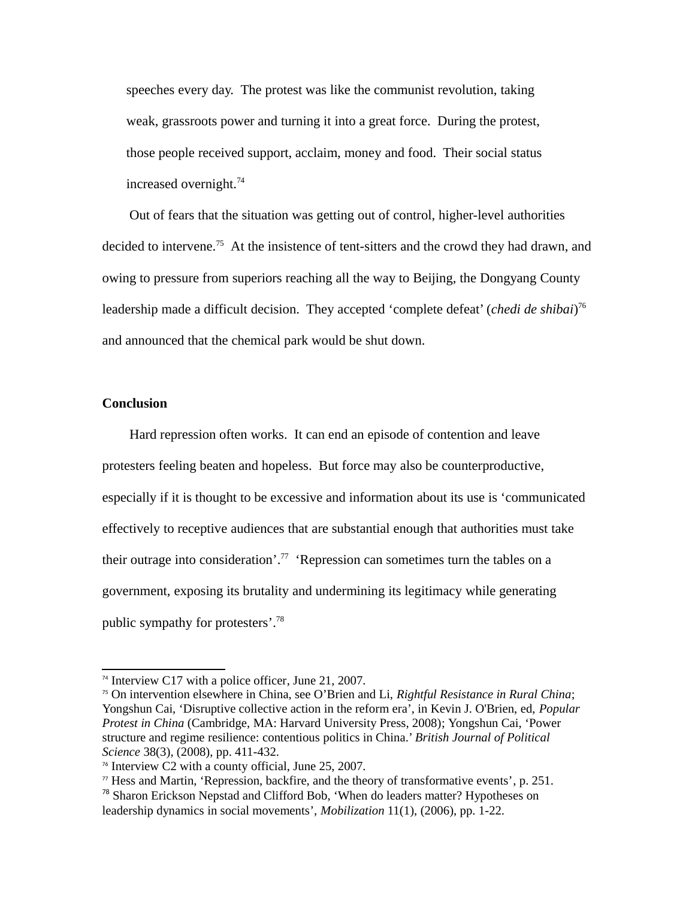speeches every day. The protest was like the communist revolution, taking weak, grassroots power and turning it into a great force. During the protest, those people received support, acclaim, money and food. Their social status increased overnight.<sup>[74](#page-22-0)</sup>

Out of fears that the situation was getting out of control, higher-level authorities decided to intervene.<sup>[75](#page-22-1)</sup> At the insistence of tent-sitters and the crowd they had drawn, and owing to pressure from superiors reaching all the way to Beijing, the Dongyang County leadership made a difficult decision. They accepted 'complete defeat' (*chedi de shibai*) [76](#page-22-2) and announced that the chemical park would be shut down.

#### **Conclusion**

Hard repression often works. It can end an episode of contention and leave protesters feeling beaten and hopeless. But force may also be counterproductive, especially if it is thought to be excessive and information about its use is 'communicated effectively to receptive audiences that are substantial enough that authorities must take their outrage into consideration'.<sup>[77](#page-22-3)</sup> 'Repression can sometimes turn the tables on a government, exposing its brutality and undermining its legitimacy while generating public sympathy for protesters'.<sup>[78](#page-22-4)</sup>

<span id="page-22-0"></span><sup>74</sup> Interview C17 with a police officer, June 21, 2007.

<span id="page-22-1"></span><sup>75</sup> On intervention elsewhere in China, see O'Brien and Li, *Rightful Resistance in Rural China*; Yongshun Cai, 'Disruptive collective action in the reform era', in Kevin J. O'Brien, ed, *Popular Protest in China* (Cambridge, MA: Harvard University Press, 2008); Yongshun Cai, 'Power structure and regime resilience: contentious politics in China.' *British Journal of Political Science* 38(3), (2008), pp. 411-432.

<span id="page-22-2"></span><sup>76</sup> Interview C2 with a county official, June 25, 2007.

<span id="page-22-3"></span> $\pi$  Hess and Martin, 'Repression, backfire, and the theory of transformative events', p. 251.

<span id="page-22-4"></span><sup>&</sup>lt;sup>78</sup> Sharon Erickson Nepstad and Clifford Bob, 'When do leaders matter? Hypotheses on leadership dynamics in social movements', *Mobilization* 11(1), (2006), pp. 1-22.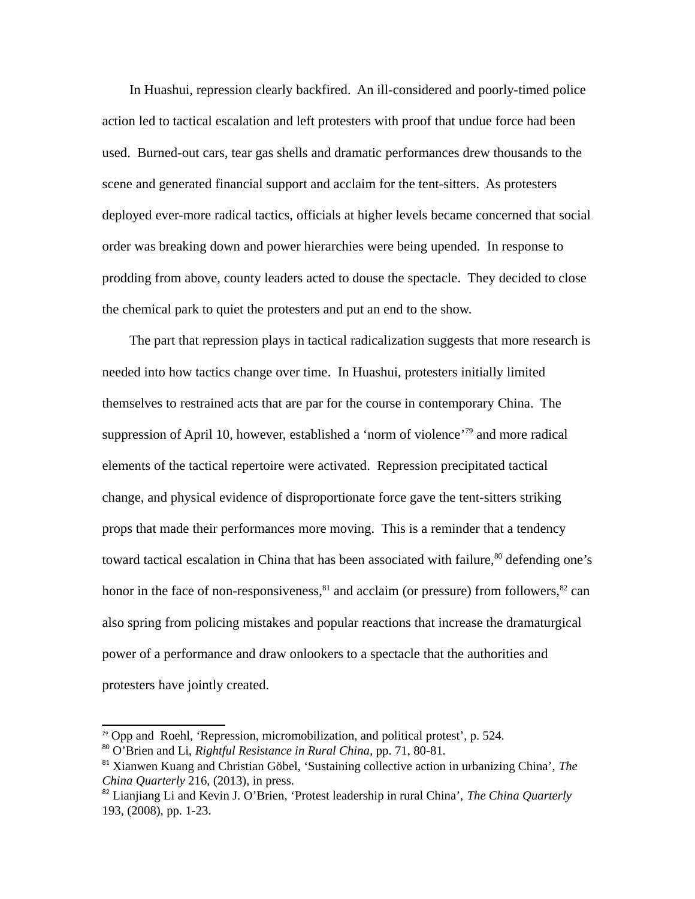In Huashui, repression clearly backfired. An ill-considered and poorly-timed police action led to tactical escalation and left protesters with proof that undue force had been used. Burned-out cars, tear gas shells and dramatic performances drew thousands to the scene and generated financial support and acclaim for the tent-sitters. As protesters deployed ever-more radical tactics, officials at higher levels became concerned that social order was breaking down and power hierarchies were being upended. In response to prodding from above, county leaders acted to douse the spectacle. They decided to close the chemical park to quiet the protesters and put an end to the show.

The part that repression plays in tactical radicalization suggests that more research is needed into how tactics change over time. In Huashui, protesters initially limited themselves to restrained acts that are par for the course in contemporary China. The suppression of April 10, however, established a 'norm of violence'<sup>[79](#page-23-0)</sup> and more radical elements of the tactical repertoire were activated. Repression precipitated tactical change, and physical evidence of disproportionate force gave the tent-sitters striking props that made their performances more moving. This is a reminder that a tendency toward tactical escalation in China that has been associated with failure,<sup>[80](#page-23-1)</sup> defending one's honor in the face of non-responsiveness, $81$  and acclaim (or pressure) from followers, $82$  can also spring from policing mistakes and popular reactions that increase the dramaturgical power of a performance and draw onlookers to a spectacle that the authorities and protesters have jointly created.

<span id="page-23-0"></span><sup>79</sup> Opp and Roehl, 'Repression, micromobilization, and political protest', p. 524.

<span id="page-23-1"></span><sup>80</sup> O'Brien and Li, *Rightful Resistance in Rural China*, pp. 71, 80-81.

<span id="page-23-2"></span><sup>81</sup> Xianwen Kuang and Christian Göbel, 'Sustaining collective action in urbanizing China', *The China Quarterly* 216, (2013), in press.

<span id="page-23-3"></span><sup>82</sup> Lianjiang Li and Kevin J. O'Brien, 'Protest leadership in rural China', *The China Quarterly* 193, (2008), pp. 1-23.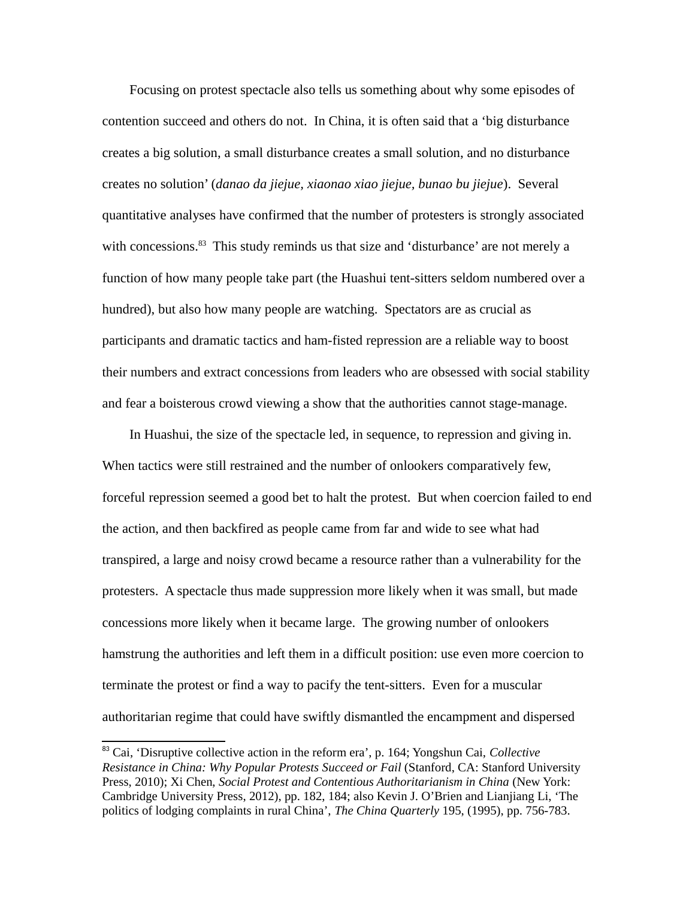Focusing on protest spectacle also tells us something about why some episodes of contention succeed and others do not. In China, it is often said that a 'big disturbance creates a big solution, a small disturbance creates a small solution, and no disturbance creates no solution' (*danao da jiejue, xiaonao xiao jiejue, bunao bu jiejue*). Several quantitative analyses have confirmed that the number of protesters is strongly associated with concessions.<sup>[83](#page-24-0)</sup> This study reminds us that size and 'disturbance' are not merely a function of how many people take part (the Huashui tent-sitters seldom numbered over a hundred), but also how many people are watching. Spectators are as crucial as participants and dramatic tactics and ham-fisted repression are a reliable way to boost their numbers and extract concessions from leaders who are obsessed with social stability and fear a boisterous crowd viewing a show that the authorities cannot stage-manage.

In Huashui, the size of the spectacle led, in sequence, to repression and giving in. When tactics were still restrained and the number of onlookers comparatively few, forceful repression seemed a good bet to halt the protest. But when coercion failed to end the action, and then backfired as people came from far and wide to see what had transpired, a large and noisy crowd became a resource rather than a vulnerability for the protesters. A spectacle thus made suppression more likely when it was small, but made concessions more likely when it became large. The growing number of onlookers hamstrung the authorities and left them in a difficult position: use even more coercion to terminate the protest or find a way to pacify the tent-sitters. Even for a muscular authoritarian regime that could have swiftly dismantled the encampment and dispersed

<span id="page-24-0"></span><sup>83</sup> Cai, 'Disruptive collective action in the reform era', p. 164; Yongshun Cai, *Collective Resistance in China: Why Popular Protests Succeed or Fail* (Stanford, CA: Stanford University Press, 2010); Xi Chen, *Social Protest and Contentious Authoritarianism in China* (New York: Cambridge University Press, 2012), pp. 182, 184; also Kevin J. O'Brien and Lianjiang Li, 'The politics of lodging complaints in rural China', *The China Quarterly* 195, (1995), pp. 756-783.